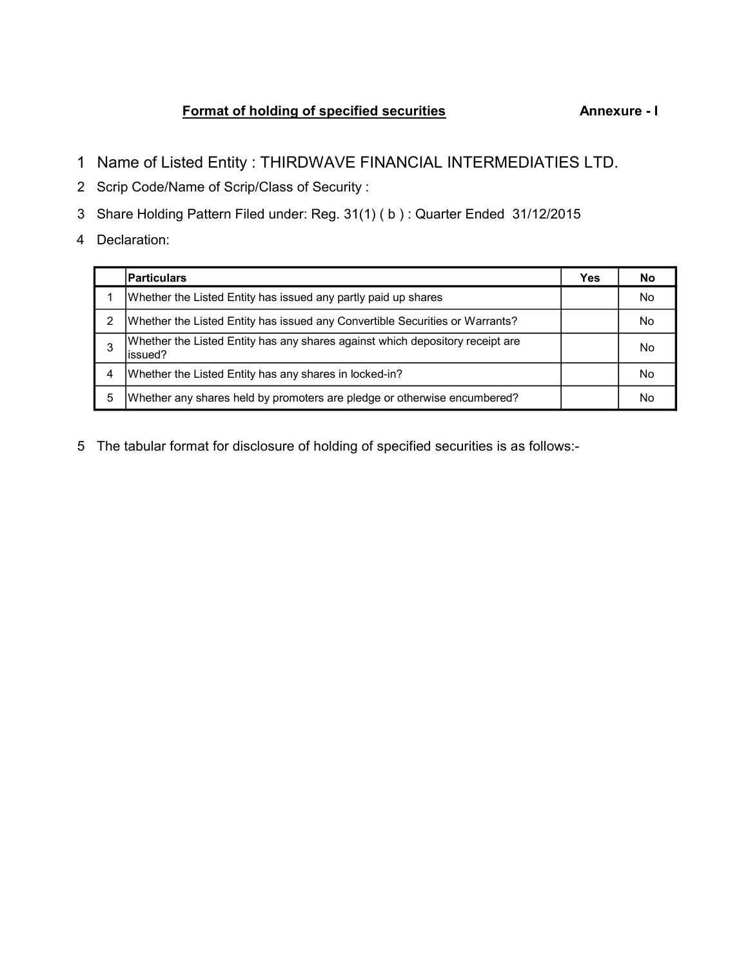## Format of holding of specified securities Annexure - I

- 1 Name of Listed Entity : THIRDWAVE FINANCIAL INTERMEDIATIES LTD.
- 2 Scrip Code/Name of Scrip/Class of Security :
- 3 Share Holding Pattern Filed under: Reg. 31(1) ( b ) : Quarter Ended 31/12/2015
- 4 Declaration:

|   | <b>Particulars</b>                                                                        | Yes | No        |
|---|-------------------------------------------------------------------------------------------|-----|-----------|
|   | Whether the Listed Entity has issued any partly paid up shares                            |     | <b>No</b> |
| 2 | Whether the Listed Entity has issued any Convertible Securities or Warrants?              |     | No        |
| 3 | Whether the Listed Entity has any shares against which depository receipt are<br>lissued? |     | No        |
| 4 | Whether the Listed Entity has any shares in locked-in?                                    |     | No        |
| 5 | Whether any shares held by promoters are pledge or otherwise encumbered?                  |     | No        |

5 The tabular format for disclosure of holding of specified securities is as follows:-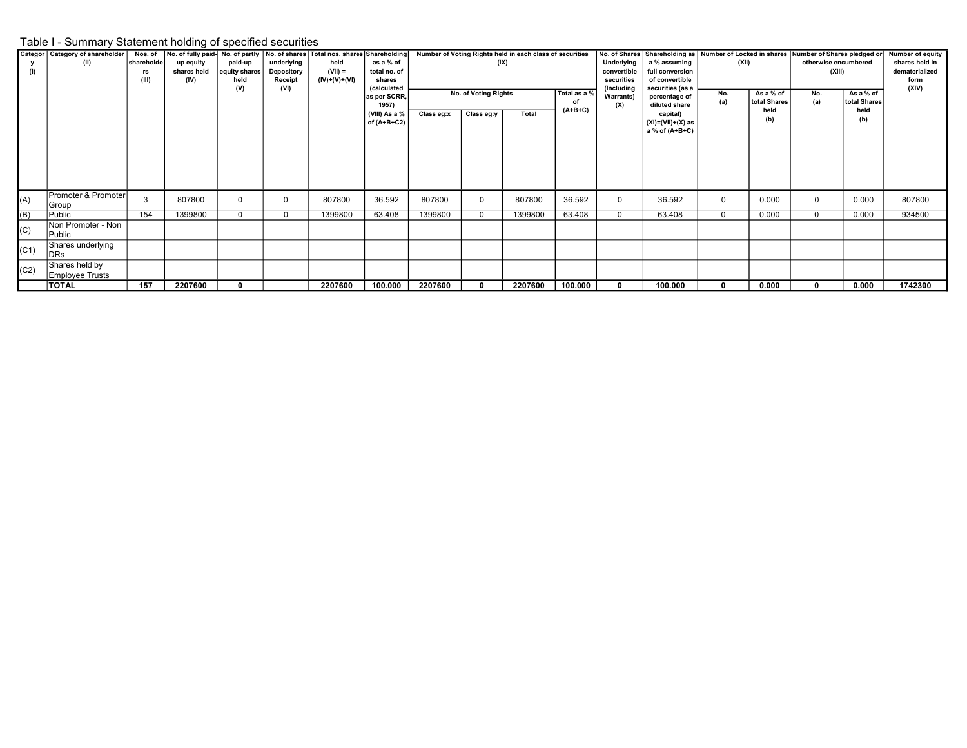## Table I - Summary Statement holding of specified securities

| (1)  | Categor   Category of shareholder<br>(II) | Nos. of<br>shareholde<br>rs<br>(III) | up equity<br>shares held<br>(IV) | paid-up<br>equity shares<br>held<br>(V) | underlying<br>Depository<br>Receipt<br>(VI) | No. of fully paid-No. of partly  No. of shares   Total nos. shares   Shareholding  <br>held<br>$(VII) =$<br>(IV)+(V)+(VI) | as a % of<br>total no. of<br>shares<br><i>(calculated</i><br>as per SCRR,<br>1957)<br>(VIII) As a % | Number of Voting Rights held in each class of securities<br>(IX)<br>No. of Voting Rights<br>Total as a %<br>$(A+B+C)$<br>Total |            |         |         | Underlying<br>convertible<br>securities<br>(Includina<br><b>Warrants</b> )<br>(X) | No. of Shares Shareholding as Number of Locked in shares<br>a % assuming<br>full conversion<br>of convertible<br>securities (as a<br>percentage of<br>diluted share | (XII)<br>No.<br>(a) | As a % of<br>total Shares<br>held | otherwise encumbered<br>(XIII)<br>No.<br>(a) | Number of Shares pledged or<br>As a % of<br>total Shares<br>held | <b>Number of equity</b><br>shares held in<br>dematerialized<br>form<br>(XIV) |
|------|-------------------------------------------|--------------------------------------|----------------------------------|-----------------------------------------|---------------------------------------------|---------------------------------------------------------------------------------------------------------------------------|-----------------------------------------------------------------------------------------------------|--------------------------------------------------------------------------------------------------------------------------------|------------|---------|---------|-----------------------------------------------------------------------------------|---------------------------------------------------------------------------------------------------------------------------------------------------------------------|---------------------|-----------------------------------|----------------------------------------------|------------------------------------------------------------------|------------------------------------------------------------------------------|
|      |                                           |                                      |                                  |                                         |                                             |                                                                                                                           | of (A+B+C2)                                                                                         | Class eg:x                                                                                                                     | Class eg:y |         |         |                                                                                   | capital)<br>$(XI) = (VII) + (X)$ as<br>a % of $(A+B+C)$                                                                                                             |                     | (b)                               |                                              | (b)                                                              |                                                                              |
| (A)  | Promoter & Promoter<br>Group              | 3                                    | 807800                           |                                         | $\Omega$                                    | 807800                                                                                                                    | 36.592                                                                                              | 807800                                                                                                                         |            | 807800  | 36.592  | $\Omega$                                                                          | 36.592                                                                                                                                                              | $\Omega$            | 0.000                             | 0                                            | 0.000                                                            | 807800                                                                       |
| (B)  | Public                                    | 154                                  | 1399800                          | 0                                       | $\Omega$                                    | 1399800                                                                                                                   | 63.408                                                                                              | 1399800                                                                                                                        |            | 1399800 | 63.408  | $\mathbf 0$                                                                       | 63.408                                                                                                                                                              | $\Omega$            | 0.000                             | $\mathbf 0$                                  | 0.000                                                            | 934500                                                                       |
| (C)  | Non Promoter - Non<br>Public              |                                      |                                  |                                         |                                             |                                                                                                                           |                                                                                                     |                                                                                                                                |            |         |         |                                                                                   |                                                                                                                                                                     |                     |                                   |                                              |                                                                  |                                                                              |
| (C1) | Shares underlying<br>DRs                  |                                      |                                  |                                         |                                             |                                                                                                                           |                                                                                                     |                                                                                                                                |            |         |         |                                                                                   |                                                                                                                                                                     |                     |                                   |                                              |                                                                  |                                                                              |
| (C2) | Shares held by<br>Employee Trusts         |                                      |                                  |                                         |                                             |                                                                                                                           |                                                                                                     |                                                                                                                                |            |         |         |                                                                                   |                                                                                                                                                                     |                     |                                   |                                              |                                                                  |                                                                              |
|      | TOTAL                                     | 157                                  | 2207600                          |                                         |                                             | 2207600                                                                                                                   | 100.000                                                                                             | 2207600                                                                                                                        |            | 2207600 | 100.000 |                                                                                   | 100.000                                                                                                                                                             | 0                   | 0.000                             | $\mathbf{0}$                                 | 0.000                                                            | 1742300                                                                      |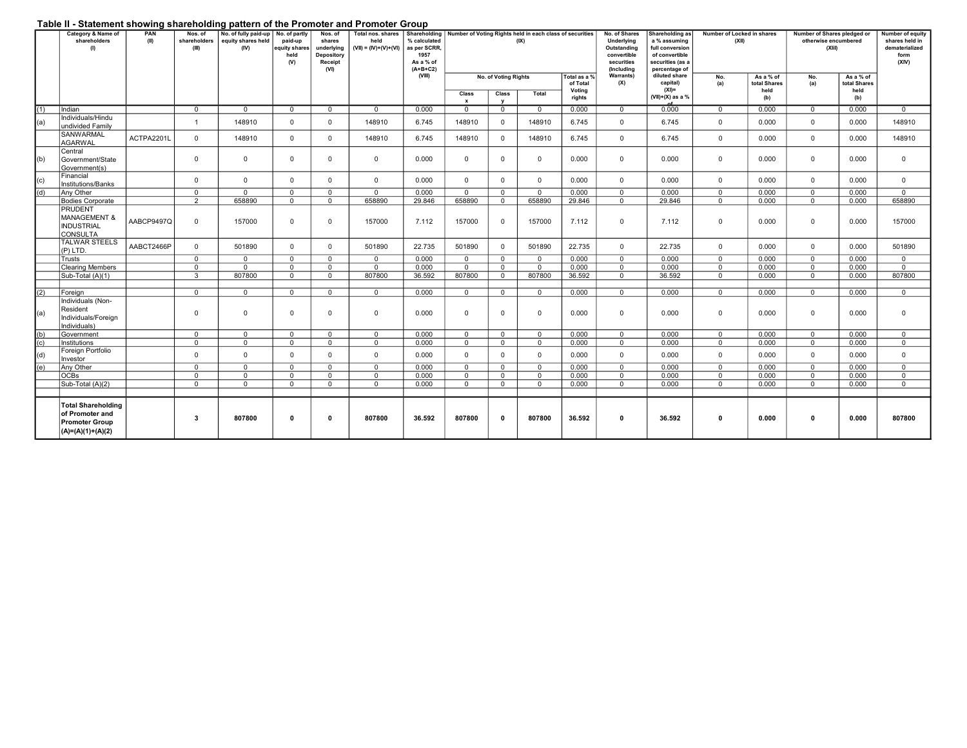## Table II - Statement showing shareholding pattern of the Promoter and Promoter Group

| .                | Category & Name of<br>shareholders<br>(1)                                             | PAN<br>(II) | Nos. of<br>shareholders<br>(III) | No. of fully paid-up<br>equity shares held<br>(IV) | No. of partly<br>paid-up<br>equity shares<br>held<br>(V) | Nos. of<br>shares<br>underlying<br>Depository<br>Receipt<br>(VI) | <b>Calculon Showing Shareholding pattern of the Fromotor and Fromotor Group</b><br>Total nos. shares<br>held<br>$(VII) = (IV)+(V)+(VI)$ | Shareholding<br>% calculated<br>as per SCRR,<br>1957<br>As a % of<br>$(A+B+C2)$ | Number of Voting Rights held in each class of securities<br>No. of Shares<br>Underlying<br>(IX)<br>Outstanding<br>convertible<br>securities<br>(Including |                               |                |                                              |                  | Shareholding as<br>a % assuming<br>full conversion<br>of convertible<br>securities (as a<br>percentage of | Number of Locked in shares<br>(XII) | Number of Shares pledged or<br>otherwise encumbered<br>(XIII) | Number of equity<br>shares held in<br>dematerialized<br>form<br>(XIV) |                                          |                |
|------------------|---------------------------------------------------------------------------------------|-------------|----------------------------------|----------------------------------------------------|----------------------------------------------------------|------------------------------------------------------------------|-----------------------------------------------------------------------------------------------------------------------------------------|---------------------------------------------------------------------------------|-----------------------------------------------------------------------------------------------------------------------------------------------------------|-------------------------------|----------------|----------------------------------------------|------------------|-----------------------------------------------------------------------------------------------------------|-------------------------------------|---------------------------------------------------------------|-----------------------------------------------------------------------|------------------------------------------|----------------|
|                  |                                                                                       |             |                                  |                                                    |                                                          |                                                                  |                                                                                                                                         | (VIII)                                                                          | Class                                                                                                                                                     | No. of Voting Rights<br>Class | Total          | Total as a %<br>of Total<br>Voting<br>rights | Warrants)<br>(X) | diluted share<br>capital)<br>$(XI) =$<br>$(VII)+(X)$ as a %                                               | No.<br>(a)                          | As a % of<br>total Shares<br>held<br>(b)                      | No.<br>(a)                                                            | As a % of<br>total Shares<br>held<br>(b) |                |
| (1)              | Indian                                                                                |             | $\Omega$                         | $\overline{0}$                                     | $\Omega$                                                 | $\Omega$                                                         | $\overline{0}$                                                                                                                          | 0.000                                                                           | $\mathbf{x}$<br>$\mathbf{0}$                                                                                                                              | $\Omega$                      | $\overline{0}$ | 0.000                                        | $\Omega$         | 0.000                                                                                                     | $\Omega$                            | 0.000                                                         | $\Omega$                                                              | 0.000                                    | $\Omega$       |
|                  | Individuals/Hindu                                                                     |             |                                  |                                                    |                                                          |                                                                  |                                                                                                                                         |                                                                                 |                                                                                                                                                           |                               |                |                                              |                  |                                                                                                           |                                     |                                                               |                                                                       |                                          |                |
| (a)              | undivided Family                                                                      |             | $\mathbf{1}$                     | 148910                                             | $\mathbf{0}$                                             | $\mathbf{0}$                                                     | 148910                                                                                                                                  | 6.745                                                                           | 148910                                                                                                                                                    | $\mathbf{0}$                  | 148910         | 6.745                                        | $\mathbf{0}$     | 6.745                                                                                                     | $\overline{0}$                      | 0.000                                                         | $\overline{0}$                                                        | 0.000                                    | 148910         |
|                  | <b>SANWARMAL</b><br>AGARWAL                                                           | ACTPA2201L  | $\Omega$                         | 148910                                             | $\mathbf 0$                                              | $\overline{0}$                                                   | 148910                                                                                                                                  | 6.745                                                                           | 148910                                                                                                                                                    | $\Omega$                      | 148910         | 6.745                                        | $\mathbf{0}$     | 6.745                                                                                                     | $\mathbf{0}$                        | 0.000                                                         | $\Omega$                                                              | 0.000                                    | 148910         |
| (b)              | Central<br>Government/State<br>Government(s)                                          |             | $\mathbf{0}$                     | $\mathbf{0}$                                       | $\mathbf{0}$                                             | $\overline{0}$                                                   | $\mathbf{0}$                                                                                                                            | 0.000                                                                           | $\mathbf{0}$                                                                                                                                              | $\mathbf{0}$                  | $\mathbf{0}$   | 0.000                                        | $\mathbf 0$      | 0.000                                                                                                     | $\mathbf{0}$                        | 0.000                                                         | $\overline{0}$                                                        | 0.000                                    | $\mathbf 0$    |
| (c)              | Financial<br>Institutions/Banks                                                       |             | $\mathbf{0}$                     | $\mathbf{0}$                                       | $\mathbf 0$                                              | $\overline{0}$                                                   | $\mathbf{0}$                                                                                                                            | 0.000                                                                           | $\mathbf{0}$                                                                                                                                              | $\Omega$                      | $\mathbf{0}$   | 0.000                                        | $\mathbf{0}$     | 0.000                                                                                                     | $\mathbf{0}$                        | 0.000                                                         | $\mathbf{0}$                                                          | 0.000                                    | $\mathbf{0}$   |
| $\overline{(d)}$ | Any Other                                                                             |             | $\mathbf{0}$                     | $\overline{0}$                                     | $\Omega$                                                 | $\mathbf{0}$                                                     | $\overline{0}$                                                                                                                          | 0.000                                                                           | $\mathbf{0}$                                                                                                                                              | $\mathbf{0}$                  | $\overline{0}$ | 0.000                                        | $\Omega$         | 0.000                                                                                                     | $\Omega$                            | 0.000                                                         | $\mathbf{0}$                                                          | 0.000                                    | $\Omega$       |
|                  | <b>Bodies Corporate</b>                                                               |             | $\overline{2}$                   | 658890                                             | $\Omega$                                                 | $\Omega$                                                         | 658890                                                                                                                                  | 29.846                                                                          | 658890                                                                                                                                                    | $\mathbf 0$                   | 658890         | 29.846                                       | $\Omega$         | 29.846                                                                                                    | $\Omega$                            | 0.000                                                         | $\Omega$                                                              | 0.000                                    | 658890         |
|                  | <b>PRUDENT</b><br>MANAGEMENT &<br><b>INDUSTRIAL</b><br><b>CONSULTA</b>                | AABCP9497Q  | $\mathbf{0}$                     | 157000                                             | $\Omega$                                                 | $\overline{0}$                                                   | 157000                                                                                                                                  | 7.112                                                                           | 157000                                                                                                                                                    | $\Omega$                      | 157000         | 7.112                                        | $\Omega$         | 7.112                                                                                                     | $\mathbf 0$                         | 0.000                                                         | $\Omega$                                                              | 0.000                                    | 157000         |
|                  | <b>TALWAR STEELS</b><br>$(P)$ LTD.                                                    | AABCT2466P  | $\Omega$                         | 501890                                             | $\Omega$                                                 | $\mathbf{0}$                                                     | 501890                                                                                                                                  | 22.735                                                                          | 501890                                                                                                                                                    | $\Omega$                      | 501890         | 22.735                                       | $\Omega$         | 22.735                                                                                                    | $\Omega$                            | 0.000                                                         | $\Omega$                                                              | 0.000                                    | 501890         |
|                  | Trusts                                                                                |             | $\Omega$                         | $^{\circ}$                                         | $\Omega$                                                 | $\mathbf{0}$                                                     | $\mathbf{0}$                                                                                                                            | 0.000                                                                           | $\overline{0}$                                                                                                                                            | $\mathbf{0}$                  | $\mathbf{0}$   | 0.000                                        | $\Omega$         | 0.000                                                                                                     | $\Omega$                            | 0.000                                                         | $\Omega$                                                              | 0.000                                    | $\overline{0}$ |
|                  | <b>Clearing Members</b>                                                               |             | $\Omega$                         | $\mathbf{0}$                                       | $\Omega$                                                 | $\mathbf 0$                                                      | $\mathbf{0}$                                                                                                                            | 0.000                                                                           | $\mathbf{0}$                                                                                                                                              | $\Omega$                      | $\overline{0}$ | 0.000                                        | $\Omega$         | 0.000                                                                                                     | $\Omega$                            | 0.000                                                         | $\Omega$                                                              | 0.000                                    | $\mathbf 0$    |
|                  | Sub-Total (A)(1)                                                                      |             | $\mathcal{R}$                    | 807800                                             | $\Omega$                                                 | $\Omega$                                                         | 807800                                                                                                                                  | 36.592                                                                          | 807800                                                                                                                                                    | $\Omega$                      | 807800         | 36.592                                       | $\Omega$         | 36.592                                                                                                    | $\Omega$                            | 0.000                                                         | $\Omega$                                                              | 0.000                                    | 807800         |
| (2)              | Foreign                                                                               |             | $\mathbf{0}$                     | $\mathbf{0}$                                       | $\mathbf{0}$                                             | $\overline{0}$                                                   | $\mathbf{0}$                                                                                                                            | 0.000                                                                           | $\overline{0}$                                                                                                                                            | $\mathbf{0}$                  | $\mathbf{0}$   | 0.000                                        | $\Omega$         | 0.000                                                                                                     | $\Omega$                            | 0.000                                                         | $\Omega$                                                              | 0.000                                    | $\mathbf{0}$   |
|                  | Individuals (Non-                                                                     |             |                                  |                                                    |                                                          |                                                                  |                                                                                                                                         |                                                                                 |                                                                                                                                                           |                               |                |                                              |                  |                                                                                                           |                                     |                                                               |                                                                       |                                          |                |
| (a)              | Resident<br>Individuals/Foreign<br>Individuals)                                       |             | $\mathbf{0}$                     | $\mathbf{0}$                                       | $\mathbf{0}$                                             | $\mathbf{0}$                                                     | $\mathbf{0}$                                                                                                                            | 0.000                                                                           | $\mathbf{0}$                                                                                                                                              | $\mathbf 0$                   | $\mathbf{0}$   | 0.000                                        | 0                | 0.000                                                                                                     | $\mathbf 0$                         | 0.000                                                         | $\mathbf{0}$                                                          | 0.000                                    | $\mathbf 0$    |
| (b)              | Government                                                                            |             | $\mathbf{0}$                     | $\overline{0}$                                     | $\Omega$                                                 | $\mathbf{0}$                                                     | $\mathbf{0}$                                                                                                                            | 0.000                                                                           | $\mathbf{0}$                                                                                                                                              | $\mathbf{0}$                  | $\overline{0}$ | 0.000                                        | $\mathbf{0}$     | 0.000                                                                                                     | $\mathbf{0}$                        | 0.000                                                         | $\mathbf{0}$                                                          | 0.000                                    | $\mathbf{0}$   |
| (c)              | Institutions                                                                          |             | $\Omega$                         | $\Omega$                                           | $\Omega$                                                 | $\Omega$                                                         | $\Omega$                                                                                                                                | 0.000                                                                           | $\Omega$                                                                                                                                                  | $\Omega$                      | $\Omega$       | 0.000                                        | $\Omega$         | 0.000                                                                                                     | $\Omega$                            | 0.000                                                         | $\mathbf{0}$                                                          | 0.000                                    | $\Omega$       |
| (d)              | Foreign Portfolio<br>Investor                                                         |             | $\mathbf 0$                      | $\mathbf{0}$                                       | $\mathbf 0$                                              | $\mathbf{0}$                                                     | $\mathbf{0}$                                                                                                                            | 0.000                                                                           | $\mathbf{0}$                                                                                                                                              | $\mathbf{0}$                  | $\mathbf{0}$   | 0.000                                        | $\mathbf 0$      | 0.000                                                                                                     | $\mathbf{0}$                        | 0.000                                                         | $\mathbf{0}$                                                          | 0.000                                    | $\mathbf 0$    |
| (e)              | Any Other                                                                             |             | $\Omega$                         | $\mathbf{0}$                                       | $\Omega$                                                 | $\overline{0}$                                                   | $\mathbf{0}$                                                                                                                            | 0.000                                                                           | $\overline{0}$                                                                                                                                            | $\mathbf{0}$                  | $\mathbf{0}$   | 0.000                                        | $\mathbf{0}$     | 0.000                                                                                                     | $\mathbf{0}$                        | 0.000                                                         | $\mathbf{0}$                                                          | 0.000                                    | $\mathbf{0}$   |
|                  | <b>OCBs</b>                                                                           |             | $\mathbf{0}$                     | $\overline{0}$                                     | $\Omega$                                                 | $\mathbf{0}$                                                     | $\mathbf{0}$                                                                                                                            | 0.000                                                                           | $\mathbf{0}$                                                                                                                                              | $\mathbf{0}$                  | $\mathbf{0}$   | 0.000                                        | $\mathbf{0}$     | 0.000                                                                                                     | $\mathbf{0}$                        | 0.000                                                         | $\mathbf{0}$                                                          | 0.000                                    | $\mathbf{0}$   |
|                  | Sub-Total (A)(2)                                                                      |             | $\Omega$                         | $\Omega$                                           | $\Omega$                                                 | $\overline{0}$                                                   | $\Omega$                                                                                                                                | 0.000                                                                           | $\mathbf{0}$                                                                                                                                              | $\mathbf{0}$                  | $\mathbf{0}$   | 0.000                                        | $\mathbf{0}$     | 0.000                                                                                                     | $\Omega$                            | 0.000                                                         | $\mathbf{0}$                                                          | 0.000                                    | $\mathbf{0}$   |
|                  | <b>Total Shareholding</b><br>of Promoter and<br>Promoter Group<br>$(A)=(A)(1)+(A)(2)$ |             | 3                                | 807800                                             | $\mathbf 0$                                              | $\mathbf{0}$                                                     | 807800                                                                                                                                  | 36.592                                                                          | 807800                                                                                                                                                    | $\mathbf{0}$                  | 807800         | 36.592                                       | $\Omega$         | 36.592                                                                                                    | $\Omega$                            | 0.000                                                         | $\Omega$                                                              | 0.000                                    | 807800         |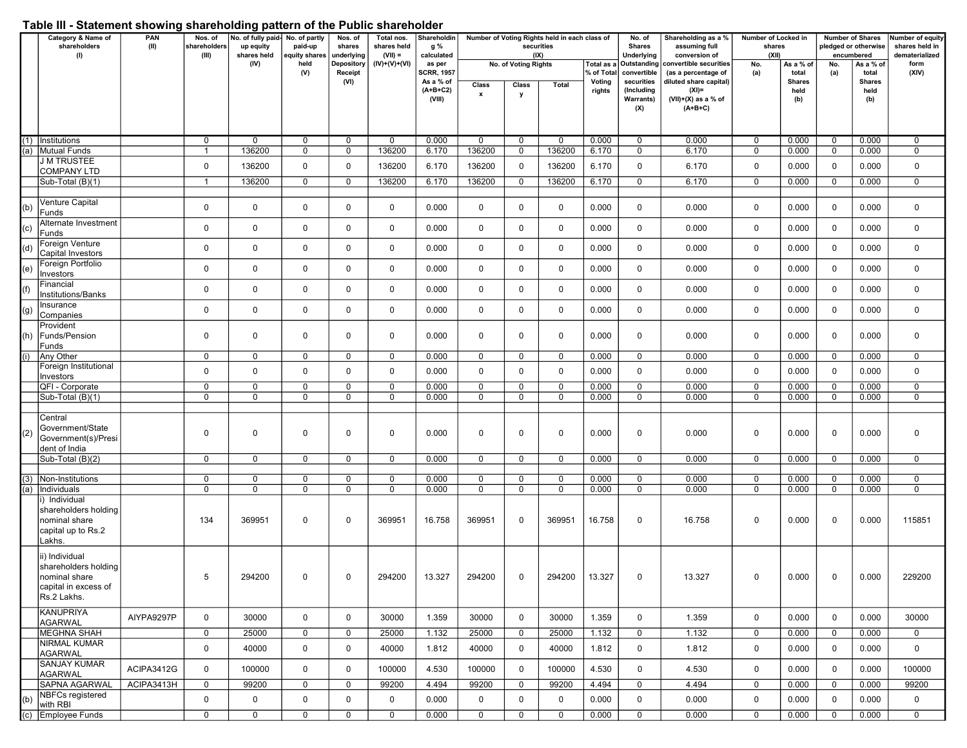## Table III - Statement showing shareholding pattern of the Public shareholder

|                            | Category & Name of                   | PAN        | Nos. of               | No. of fully paid-       | No. of partly            | Nos. of              | Total nos.               | Shareholdin       | Number of Voting Rights held in each class of<br>securities |                      | No. of      | Shareholding as a % | Number of Locked in         |                                |                 | <b>Number of Shares</b> | Number of equity                   |               |                                  |
|----------------------------|--------------------------------------|------------|-----------------------|--------------------------|--------------------------|----------------------|--------------------------|-------------------|-------------------------------------------------------------|----------------------|-------------|---------------------|-----------------------------|--------------------------------|-----------------|-------------------------|------------------------------------|---------------|----------------------------------|
|                            | shareholders<br>(1)                  | (II)       | shareholders<br>(III) | up equity<br>shares held | paid-up<br>equity shares | shares<br>underlying | shares held<br>$(VII) =$ | g %<br>calculated |                                                             | (IX)                 |             |                     | <b>Shares</b><br>Underlying | assuming full<br>conversion of | shares<br>(XII) |                         | pledged or otherwise<br>encumbered |               | shares held in<br>dematerialized |
|                            |                                      |            |                       | (IV)                     | held                     | Depository           | $(IV)+(V)+(VI)$          | as per            |                                                             | No. of Voting Rights |             | Total as a          | Outstanding                 | convertible securities         | No.             | As a % of               | No.                                | As a % of     | form                             |
|                            |                                      |            |                       |                          | (V)                      | Receipt              |                          | <b>SCRR, 1957</b> |                                                             |                      |             | % of Tota           | convertible                 | (as a percentage of            | (a)             | total                   | (a)                                | total         | (XIV)                            |
|                            |                                      |            |                       |                          |                          | (VI)                 |                          | As a % of         | Class                                                       | Class                | Total       | Voting              | securities                  | diluted share capital)         |                 | <b>Shares</b>           |                                    | <b>Shares</b> |                                  |
|                            |                                      |            |                       |                          |                          |                      |                          | $(A+B+C2)$        | $\pmb{\mathsf{x}}$                                          | у                    |             | rights              | (Including                  | $(XI) =$                       |                 | held                    |                                    | held          |                                  |
|                            |                                      |            |                       |                          |                          |                      |                          | (VIII)            |                                                             |                      |             |                     | <b>Warrants)</b>            | $(VII)+(X)$ as a % of          |                 | (b)                     |                                    | (b)           |                                  |
|                            |                                      |            |                       |                          |                          |                      |                          |                   |                                                             |                      |             |                     | (X)                         | $(A+B+C)$                      |                 |                         |                                    |               |                                  |
|                            |                                      |            |                       |                          |                          |                      |                          |                   |                                                             |                      |             |                     |                             |                                |                 |                         |                                    |               |                                  |
|                            |                                      |            |                       |                          |                          |                      |                          |                   |                                                             |                      |             |                     |                             |                                |                 |                         |                                    |               |                                  |
|                            | (1) Institutions                     |            | $\mathbf 0$           | 0                        | 0                        | $\mathbf 0$          | 0                        | 0.000             | $\mathbf 0$                                                 | $\mathbf 0$          | 0           | 0.000               | 0                           | 0.000                          | 0               | 0.000                   | $\mathbf 0$                        | 0.000         | 0                                |
|                            | a) Mutual Funds                      |            |                       | 136200                   | $\overline{0}$           | $\overline{0}$       | 136200                   | 6.170             | 136200                                                      | $\mathbf 0$          | 136200      | 6.170               | 0                           | 6.170                          | $\mathbf 0$     | 0.000                   | $\mathbf 0$                        | 0.000         | $\overline{0}$                   |
|                            | <b>J M TRUSTEE</b>                   |            | $\mathbf 0$           | 136200                   | $\mathbf 0$              | $\mathbf 0$          | 136200                   | 6.170             | 136200                                                      | $\mathbf 0$          | 136200      | 6.170               | 0                           | 6.170                          | 0               | 0.000                   | 0                                  | 0.000         | 0                                |
|                            | COMPANY LTD                          |            |                       |                          |                          |                      |                          |                   |                                                             |                      |             |                     |                             |                                |                 |                         |                                    |               |                                  |
|                            | Sub-Total (B)(1)                     |            | $\mathbf{1}$          | 136200                   | $\mathbf 0$              | $\mathbf 0$          | 136200                   | 6.170             | 136200                                                      | $\mathbf 0$          | 136200      | 6.170               | 0                           | 6.170                          | 0               | 0.000                   | $\mathbf 0$                        | 0.000         | $\mathbf 0$                      |
|                            |                                      |            |                       |                          |                          |                      |                          |                   |                                                             |                      |             |                     |                             |                                |                 |                         |                                    |               |                                  |
| (b)                        | Venture Capital                      |            | $\mathbf 0$           | $\mathbf 0$              | $\mathbf 0$              | $\mathbf 0$          | 0                        | 0.000             | $\mathbf 0$                                                 | $\mathbf 0$          | $\mathbf 0$ | 0.000               | 0                           | 0.000                          | 0               | 0.000                   | 0                                  | 0.000         | $\mathbf 0$                      |
|                            | Funds                                |            |                       |                          |                          |                      |                          |                   |                                                             |                      |             |                     |                             |                                |                 |                         |                                    |               |                                  |
| $\left( \mathsf{c}\right)$ | Alternate Investment                 |            | $\mathbf 0$           | $\mathbf 0$              | $\mathbf 0$              | $\mathbf 0$          | 0                        | 0.000             | $\mathbf 0$                                                 | $\mathbf 0$          | $\mathbf 0$ | 0.000               | 0                           | 0.000                          | $\mathbf 0$     | 0.000                   | 0                                  | 0.000         | $\mathbf 0$                      |
|                            | Funds                                |            |                       |                          |                          |                      |                          |                   |                                                             |                      |             |                     |                             |                                |                 |                         |                                    |               |                                  |
|                            | Foreign Venture<br>Capital Investors |            | 0                     | $\mathbf 0$              | 0                        | $\mathbf 0$          | 0                        | 0.000             | $\mathbf 0$                                                 | 0                    | $\mathbf 0$ | 0.000               | 0                           | 0.000                          | 0               | 0.000                   | $\Omega$                           | 0.000         | $\mathbf 0$                      |
|                            | Foreign Portfolio                    |            |                       |                          |                          |                      |                          |                   |                                                             |                      |             |                     |                             |                                |                 |                         |                                    |               |                                  |
| $\epsilon)$                | Investors                            |            | 0                     | $\mathbf 0$              | $\mathbf 0$              | $\mathbf 0$          | 0                        | 0.000             | $\mathbf 0$                                                 | $\mathbf 0$          | $\mathbf 0$ | 0.000               | 0                           | 0.000                          | 0               | 0.000                   | 0                                  | 0.000         | $\mathbf 0$                      |
|                            | Financial                            |            |                       |                          |                          |                      |                          |                   |                                                             |                      |             |                     |                             |                                |                 |                         |                                    |               |                                  |
|                            | Institutions/Banks                   |            | $\mathbf 0$           | $\mathbf 0$              | $\mathbf 0$              | $\mathbf 0$          | 0                        | 0.000             | $\mathbf 0$                                                 | $\mathbf 0$          | $\mathbf 0$ | 0.000               | 0                           | 0.000                          | $\mathbf 0$     | 0.000                   | $\mathbf 0$                        | 0.000         | $\mathbf 0$                      |
|                            | Insurance                            |            |                       |                          |                          |                      |                          |                   |                                                             |                      |             |                     |                             |                                |                 |                         |                                    |               |                                  |
| g)                         | Companies                            |            | 0                     | $\mathbf 0$              | $\mathbf 0$              | $\mathbf 0$          | 0                        | 0.000             | $\mathbf 0$                                                 | $\mathbf 0$          | $\mathbf 0$ | 0.000               | 0                           | 0.000                          | 0               | 0.000                   | $\mathbf 0$                        | 0.000         | $\mathbf 0$                      |
|                            | Provident                            |            |                       |                          |                          |                      |                          |                   |                                                             |                      |             |                     |                             |                                |                 |                         |                                    |               |                                  |
| 'n)                        | Funds/Pension                        |            | 0                     | 0                        | 0                        | 0                    | 0                        | 0.000             | $\mathbf 0$                                                 | $\mathbf 0$          | $\mathbf 0$ | 0.000               | 0                           | 0.000                          | 0               | 0.000                   | 0                                  | 0.000         | 0                                |
|                            | Funds                                |            |                       |                          |                          |                      |                          |                   |                                                             |                      |             |                     |                             |                                |                 |                         |                                    |               |                                  |
|                            | Any Other                            |            | $\mathbf 0$           | 0                        | 0                        | $\mathbf 0$          | 0                        | 0.000             | $\mathbf 0$                                                 | 0                    | $\mathbf 0$ | 0.000               | 0                           | 0.000                          | 0               | 0.000                   | $\mathbf 0$                        | 0.000         | $\mathbf 0$                      |
|                            | Foreign Institutional                |            |                       |                          |                          |                      |                          |                   |                                                             |                      |             |                     |                             |                                |                 |                         |                                    |               |                                  |
|                            | Investors                            |            | 0                     | $\mathbf 0$              | $\mathbf 0$              | $\mathbf 0$          | 0                        | 0.000             | $\mathbf 0$                                                 | $\mathbf 0$          | $\mathbf 0$ | 0.000               | 0                           | 0.000                          | 0               | 0.000                   | 0                                  | 0.000         | $\mathbf 0$                      |
|                            | QFI - Corporate                      |            | $\mathbf 0$           | 0                        | $\mathbf 0$              | $\mathbf 0$          | 0                        | 0.000             | $\mathbf 0$                                                 | 0                    | 0           | 0.000               | 0                           | 0.000                          | 0               | 0.000                   | $\mathbf 0$                        | 0.000         | $\mathbf 0$                      |
|                            | Sub-Total (B)(1)                     |            | 0                     | 0                        | 0                        | $\mathbf 0$          | 0                        | 0.000             | $\mathbf 0$                                                 | $\mathbf 0$          | $\mathbf 0$ | 0.000               | 0                           | 0.000                          | 0               | 0.000                   | $\mathbf 0$                        | 0.000         | 0                                |
|                            |                                      |            |                       |                          |                          |                      |                          |                   |                                                             |                      |             |                     |                             |                                |                 |                         |                                    |               |                                  |
|                            | Central                              |            |                       |                          |                          |                      |                          |                   |                                                             |                      |             |                     |                             |                                |                 |                         |                                    |               |                                  |
|                            | Government/State                     |            | 0                     | $\mathbf 0$              | 0                        | $\mathbf 0$          | 0                        | 0.000             | $\mathbf 0$                                                 | $\mathbf 0$          | $\mathbf 0$ | 0.000               | 0                           |                                | 0               | 0.000                   | 0                                  |               | 0                                |
| $\left( 2\right)$          | Government(s)/Presi                  |            |                       |                          |                          |                      |                          |                   |                                                             |                      |             |                     |                             | 0.000                          |                 |                         |                                    | 0.000         |                                  |
|                            | dent of India                        |            |                       |                          |                          |                      |                          |                   |                                                             |                      |             |                     |                             |                                |                 |                         |                                    |               |                                  |
|                            | Sub-Total (B)(2)                     |            | $\mathbf 0$           | 0                        | $\mathbf 0$              | $\mathbf 0$          | 0                        | 0.000             | $\mathbf 0$                                                 | $\mathbf 0$          | $\mathbf 0$ | 0.000               | 0                           | 0.000                          | 0               | 0.000                   | $\mathbf 0$                        | 0.000         | $\mathbf 0$                      |
|                            |                                      |            |                       |                          |                          |                      |                          |                   |                                                             |                      |             |                     |                             |                                |                 |                         |                                    |               |                                  |
|                            | (3)  Non-Institutions                |            | 0                     | 0                        | 0                        | 0                    | 0                        | 0.000             | 0                                                           | $\mathbf 0$          | 0           | 0.000               | 0                           | 0.000                          | 0               | 0.000                   | $\mathbf 0$                        | 0.000         | 0                                |
|                            | (a) Individuals                      |            | $\mathbf 0$           | $\mathbf 0$              | 0                        | 0                    | 0                        | 0.000             | $\mathbf 0$                                                 | $\mathbf 0$          | $\mathbf 0$ | 0.000               | 0                           | 0.000                          | 0               | 0.000                   | $\mathbf 0$                        | 0.000         | $\mathbf 0$                      |
|                            | i) Individual                        |            |                       |                          |                          |                      |                          |                   |                                                             |                      |             |                     |                             |                                |                 |                         |                                    |               |                                  |
|                            | shareholders holding                 |            |                       |                          |                          |                      |                          |                   |                                                             |                      |             |                     |                             |                                |                 |                         |                                    |               |                                  |
|                            | nominal share                        |            | 134                   | 369951                   | $\mathbf 0$              | $\mathbf 0$          | 369951                   | 16.758            | 369951                                                      | $\mathbf 0$          | 369951      | 16.758              | $\mathbf 0$                 | 16.758                         | 0               | 0.000                   | 0                                  | 0.000         | 115851                           |
|                            | capital up to Rs.2                   |            |                       |                          |                          |                      |                          |                   |                                                             |                      |             |                     |                             |                                |                 |                         |                                    |               |                                  |
|                            | Lakhs.                               |            |                       |                          |                          |                      |                          |                   |                                                             |                      |             |                     |                             |                                |                 |                         |                                    |               |                                  |
|                            | ii) Individual                       |            |                       |                          |                          |                      |                          |                   |                                                             |                      |             |                     |                             |                                |                 |                         |                                    |               |                                  |
|                            | shareholders holding                 |            |                       |                          |                          |                      |                          |                   |                                                             |                      |             |                     |                             |                                |                 |                         |                                    |               |                                  |
|                            | nominal share                        |            | 5                     | 294200                   | $\mathbf 0$              | 0                    | 294200                   | 13.327            | 294200                                                      | 0                    | 294200      | 13.327              | 0                           | 13.327                         | 0               | 0.000                   | 0                                  | 0.000         | 229200                           |
|                            | capital in excess of                 |            |                       |                          |                          |                      |                          |                   |                                                             |                      |             |                     |                             |                                |                 |                         |                                    |               |                                  |
|                            | Rs.2 Lakhs.                          |            |                       |                          |                          |                      |                          |                   |                                                             |                      |             |                     |                             |                                |                 |                         |                                    |               |                                  |
|                            | <b>KANUPRIYA</b>                     |            |                       |                          |                          |                      |                          |                   |                                                             |                      |             |                     |                             |                                |                 |                         |                                    |               |                                  |
|                            | <b>AGARWAL</b>                       | AIYPA9297P | $\mathbf 0$           | 30000                    | $\mathbf 0$              | $\mathbf 0$          | 30000                    | 1.359             | 30000                                                       | $\mathbf 0$          | 30000       | 1.359               | 0                           | 1.359                          | $\mathbf 0$     | 0.000                   | $\mathbf 0$                        | 0.000         | 30000                            |
|                            | MEGHNA SHAH                          |            | $\mathbf{0}$          | 25000                    | $\mathbf 0$              | $\mathbf 0$          | 25000                    | 1.132             | 25000                                                       | $\mathbf 0$          | 25000       | 1.132               | 0                           | 1.132                          | 0               | 0.000                   | $\mathbf 0$                        | 0.000         | 0                                |
|                            | NIRMAL KUMAR                         |            |                       |                          |                          |                      |                          |                   |                                                             |                      |             |                     |                             |                                |                 |                         |                                    |               |                                  |
|                            | AGARWAL                              |            | $\mathbf 0$           | 40000                    | $\mathbf 0$              | $\mathbf 0$          | 40000                    | 1.812             | 40000                                                       | $\mathbf 0$          | 40000       | 1.812               | 0                           | 1.812                          | 0               | 0.000                   | $\mathbf 0$                        | 0.000         | $\mathbf 0$                      |
|                            | <b>SANJAY KUMAR</b>                  |            |                       |                          |                          |                      |                          |                   |                                                             |                      |             |                     |                             |                                |                 |                         |                                    |               |                                  |
|                            | <b>AGARWAL</b>                       | ACIPA3412G | $\mathbf{0}$          | 100000                   | $\overline{0}$           | $\mathbf 0$          | 100000                   | 4.530             | 100000                                                      | $\mathbf 0$          | 100000      | 4.530               | 0                           | 4.530                          | 0               | 0.000                   | $\mathbf 0$                        | 0.000         | 100000                           |
|                            | <b>SAPNA AGARWAL</b>                 | ACIPA3413H | 0                     | 99200                    | $\mathbf 0$              | 0                    | 99200                    | 4.494             | 99200                                                       | $\mathbf 0$          | 99200       | 4.494               | 0                           | 4.494                          | 0               | 0.000                   | $\mathbf 0$                        | 0.000         | 99200                            |
|                            | NBFCs registered                     |            |                       |                          |                          |                      |                          |                   |                                                             |                      |             |                     |                             |                                |                 |                         |                                    |               |                                  |
| b)                         | with RBI                             |            | $\mathbf 0$           | $\mathbf 0$              | $\mathbf 0$              | $\mathbf 0$          | 0                        | 0.000             | $\mathbf 0$                                                 | $\mathbf 0$          | $\mathbf 0$ | 0.000               | 0                           | 0.000                          | 0               | 0.000                   | $\mathbf 0$                        | 0.000         | $\mathbf 0$                      |
|                            | (c) Employee Funds                   |            | $\overline{0}$        | $\mathbf 0$              | $\overline{0}$           | $\overline{0}$       | 0                        | 0.000             | $\mathbf 0$                                                 | $\mathbf 0$          | $\mathbf 0$ | 0.000               | 0                           | 0.000                          | 0               | 0.000                   | $\mathbf 0$                        | 0.000         | $\overline{0}$                   |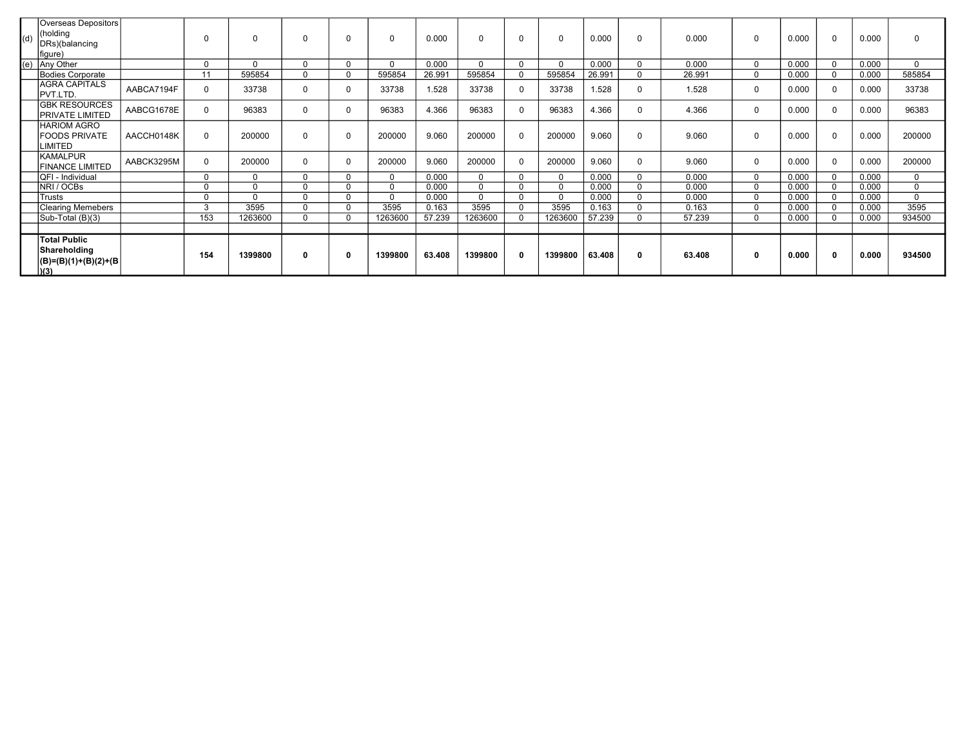| (d) | Overseas Depositors<br>(holding<br>DRs)(balancing<br>figure)            |            | $\Omega$    |              | $\Omega$ | $\Omega$ | 0        | 0.000  | $\Omega$ |          | $\Omega$     | 0.000  | 0           | 0.000  | $\Omega$    | 0.000 | 0        | 0.000 | $\Omega$    |
|-----|-------------------------------------------------------------------------|------------|-------------|--------------|----------|----------|----------|--------|----------|----------|--------------|--------|-------------|--------|-------------|-------|----------|-------|-------------|
| (e) | Any Other                                                               |            | $\Omega$    | <sup>0</sup> | $\Omega$ | $\Omega$ | $\Omega$ | 0.000  | $\Omega$ |          | $\Omega$     | 0.000  | $\Omega$    | 0.000  | $\Omega$    | 0.000 |          | 0.000 | $\Omega$    |
|     | Bodies Corporate                                                        |            | 11          | 595854       | $\Omega$ | $\Omega$ | 595854   | 26.991 | 595854   |          | 595854       | 26.991 | 0           | 26.991 | $\Omega$    | 0.000 |          | 0.000 | 585854      |
|     | <b>AGRA CAPITALS</b><br>PVT.LTD.                                        | AABCA7194F | 0           | 33738        | $\Omega$ | $\Omega$ | 33738    | 1.528  | 33738    | $\Omega$ | 33738        | 1.528  | 0           | 1.528  | $\Omega$    | 0.000 | $\Omega$ | 0.000 | 33738       |
|     | IGBK RESOURCES<br>PRIVATE LIMITED                                       | AABCG1678E | 0           | 96383        | $\Omega$ |          | 96383    | 4.366  | 96383    |          | 96383        | 4.366  | 0           | 4.366  | 0           | 0.000 | 0        | 0.000 | 96383       |
|     | <b>HARIOM AGRO</b><br><b>FOODS PRIVATE</b><br>LIMITED                   | AACCH0148K | $\Omega$    | 200000       | $\Omega$ |          | 200000   | 9.060  | 200000   |          | 200000       | 9.060  | 0           | 9.060  | $\Omega$    | 0.000 | $\Omega$ | 0.000 | 200000      |
|     | <b>KAMALPUR</b><br><b>FINANCE LIMITED</b>                               | AABCK3295M | $\mathbf 0$ | 200000       | $\Omega$ |          | 200000   | 9.060  | 200000   |          | 200000       | 9.060  | 0           | 9.060  | $\mathbf 0$ | 0.000 | $\Omega$ | 0.000 | 200000      |
|     | QFI - Individual                                                        |            | 0           | $\Omega$     | $\Omega$ | $\Omega$ | 0        | 0.000  | $\Omega$ |          | $\mathbf{0}$ | 0.000  | $\mathbf 0$ | 0.000  | $\Omega$    | 0.000 |          | 0.000 | $\mathbf 0$ |
|     | NRI / OCBs                                                              |            | $\mathbf 0$ | $\Omega$     | $\Omega$ | $\Omega$ | $\Omega$ | 0.000  | $\Omega$ |          | $\Omega$     | 0.000  | $\mathbf 0$ | 0.000  | $\Omega$    | 0.000 |          | 0.000 | $\mathbf 0$ |
|     | Trusts                                                                  |            | $\Omega$    | $\Omega$     | $\Omega$ | $\Omega$ | $\Omega$ | 0.000  | $\Omega$ |          | $\Omega$     | 0.000  | $\mathbf 0$ | 0.000  | $\Omega$    | 0.000 |          | 0.000 | $\Omega$    |
|     | Clearing Memebers                                                       |            | 3           | 3595         | $\Omega$ | $\Omega$ | 3595     | 0.163  | 3595     |          | 3595         | 0.163  | 0           | 0.163  | $\Omega$    | 0.000 |          | 0.000 | 3595        |
|     | Sub-Total (B)(3)                                                        |            | 153         | 1263600      | $\Omega$ | $\Omega$ | 1263600  | 57.239 | 1263600  |          | 1263600      | 57.239 | 0           | 57.239 | $\Omega$    | 0.000 |          | 0.000 | 934500      |
|     |                                                                         |            |             |              |          |          |          |        |          |          |              |        |             |        |             |       |          |       |             |
|     | <b>Total Public</b><br>Shareholding<br>$ (B)= (B)(1)+(B)(2)+(B)$<br>(3) |            | 154         | 1399800      | $\bf{0}$ | 0        | 1399800  | 63.408 | 1399800  |          | 1399800      | 63.408 | 0           | 63.408 | $\mathbf 0$ | 0.000 | 0        | 0.000 | 934500      |